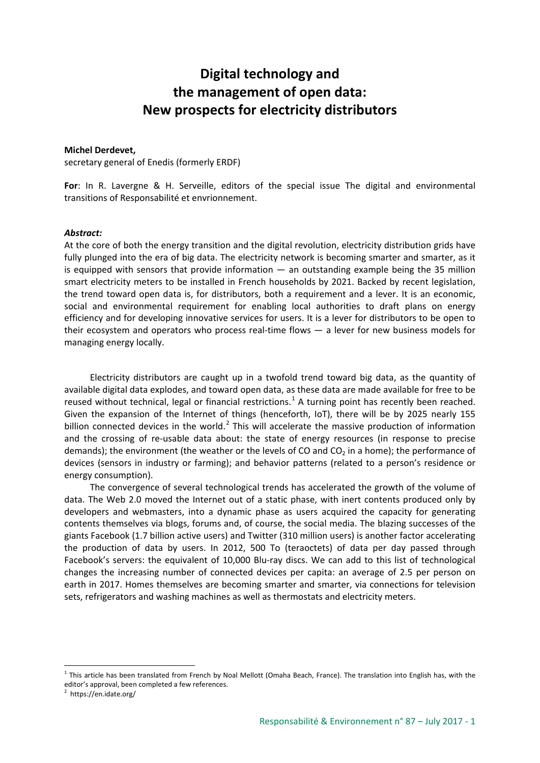## **Digital technology and the management of open data: New prospects for electricity distributors**

## **Michel Derdevet,**

secretary general of Enedis (formerly ERDF)

**For**: In R. Lavergne & H. Serveille, editors of the special issue The digital and environmental transitions of Responsabilité et envrionnement.

## *Abstract:*

At the core of both the energy transition and the digital revolution, electricity distribution grids have fully plunged into the era of big data. The electricity network is becoming smarter and smarter, as it is equipped with sensors that provide information  $-$  an outstanding example being the 35 million smart electricity meters to be installed in French households by 2021. Backed by recent legislation, the trend toward open data is, for distributors, both a requirement and a lever. It is an economic, social and environmental requirement for enabling local authorities to draft plans on energy efficiency and for developing innovative services for users. It is a lever for distributors to be open to their ecosystem and operators who process real-time flows — a lever for new business models for managing energy locally.

Electricity distributors are caught up in a twofold trend toward big data, as the quantity of available digital data explodes, and toward open data, as these data are made available for free to be reused without technical, legal or financial restrictions.<sup>[1](#page-0-0)</sup> A turning point has recently been reached. Given the expansion of the Internet of things (henceforth, IoT), there will be by 2025 nearly 155 billion connected devices in the world.<sup>[2](#page-0-1)</sup> This will accelerate the massive production of information and the crossing of re-usable data about: the state of energy resources (in response to precise demands); the environment (the weather or the levels of CO and  $CO<sub>2</sub>$  in a home); the performance of devices (sensors in industry or farming); and behavior patterns (related to a person's residence or energy consumption).

The convergence of several technological trends has accelerated the growth of the volume of data. The Web 2.0 moved the Internet out of a static phase, with inert contents produced only by developers and webmasters, into a dynamic phase as users acquired the capacity for generating contents themselves via blogs, forums and, of course, the social media. The blazing successes of the giants Facebook (1.7 billion active users) and Twitter (310 million users) is another factor accelerating the production of data by users. In 2012, 500 To (teraoctets) of data per day passed through Facebook's servers: the equivalent of 10,000 Blu-ray discs. We can add to this list of technological changes the increasing number of connected devices per capita: an average of 2.5 per person on earth in 2017. Homes themselves are becoming smarter and smarter, via connections for television sets, refrigerators and washing machines as well as thermostats and electricity meters.

<span id="page-0-0"></span> $1$  This article has been translated from French by Noal Mellott (Omaha Beach, France). The translation into English has, with the editor's approval, been completed a few references.

<span id="page-0-1"></span><sup>&</sup>lt;sup>2</sup> https://en.idate.org/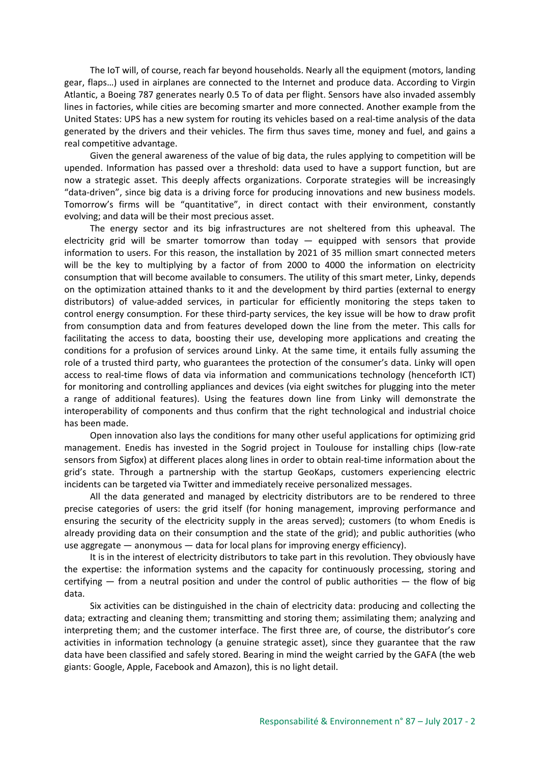The IoT will, of course, reach far beyond households. Nearly all the equipment (motors, landing gear, flaps…) used in airplanes are connected to the Internet and produce data. According to Virgin Atlantic, a Boeing 787 generates nearly 0.5 To of data per flight. Sensors have also invaded assembly lines in factories, while cities are becoming smarter and more connected. Another example from the United States: UPS has a new system for routing its vehicles based on a real-time analysis of the data generated by the drivers and their vehicles. The firm thus saves time, money and fuel, and gains a real competitive advantage.

Given the general awareness of the value of big data, the rules applying to competition will be upended. Information has passed over a threshold: data used to have a support function, but are now a strategic asset. This deeply affects organizations. Corporate strategies will be increasingly "data-driven", since big data is a driving force for producing innovations and new business models. Tomorrow's firms will be "quantitative", in direct contact with their environment, constantly evolving; and data will be their most precious asset.

The energy sector and its big infrastructures are not sheltered from this upheaval. The electricity grid will be smarter tomorrow than today  $-$  equipped with sensors that provide information to users. For this reason, the installation by 2021 of 35 million smart connected meters will be the key to multiplying by a factor of from 2000 to 4000 the information on electricity consumption that will become available to consumers. The utility of this smart meter, Linky, depends on the optimization attained thanks to it and the development by third parties (external to energy distributors) of value-added services, in particular for efficiently monitoring the steps taken to control energy consumption. For these third-party services, the key issue will be how to draw profit from consumption data and from features developed down the line from the meter. This calls for facilitating the access to data, boosting their use, developing more applications and creating the conditions for a profusion of services around Linky. At the same time, it entails fully assuming the role of a trusted third party, who guarantees the protection of the consumer's data. Linky will open access to real-time flows of data via information and communications technology (henceforth ICT) for monitoring and controlling appliances and devices (via eight switches for plugging into the meter a range of additional features). Using the features down line from Linky will demonstrate the interoperability of components and thus confirm that the right technological and industrial choice has been made.

Open innovation also lays the conditions for many other useful applications for optimizing grid management. Enedis has invested in the Sogrid project in Toulouse for installing chips (low-rate sensors from Sigfox) at different places along lines in order to obtain real-time information about the grid's state. Through a partnership with the startup GeoKaps, customers experiencing electric incidents can be targeted via Twitter and immediately receive personalized messages.

All the data generated and managed by electricity distributors are to be rendered to three precise categories of users: the grid itself (for honing management, improving performance and ensuring the security of the electricity supply in the areas served); customers (to whom Enedis is already providing data on their consumption and the state of the grid); and public authorities (who use aggregate — anonymous — data for local plans for improving energy efficiency).

It is in the interest of electricity distributors to take part in this revolution. They obviously have the expertise: the information systems and the capacity for continuously processing, storing and certifying  $-$  from a neutral position and under the control of public authorities  $-$  the flow of big data.

Six activities can be distinguished in the chain of electricity data: producing and collecting the data; extracting and cleaning them; transmitting and storing them; assimilating them; analyzing and interpreting them; and the customer interface. The first three are, of course, the distributor's core activities in information technology (a genuine strategic asset), since they guarantee that the raw data have been classified and safely stored. Bearing in mind the weight carried by the GAFA (the web giants: Google, Apple, Facebook and Amazon), this is no light detail.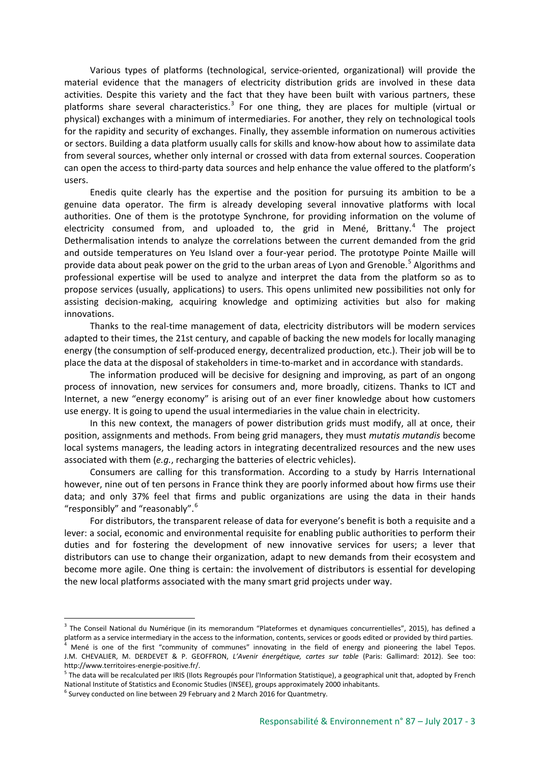Various types of platforms (technological, service-oriented, organizational) will provide the material evidence that the managers of electricity distribution grids are involved in these data activities. Despite this variety and the fact that they have been built with various partners, these platforms share several characteristics. $3$  For one thing, they are places for multiple (virtual or physical) exchanges with a minimum of intermediaries. For another, they rely on technological tools for the rapidity and security of exchanges. Finally, they assemble information on numerous activities or sectors. Building a data platform usually calls for skills and know-how about how to assimilate data from several sources, whether only internal or crossed with data from external sources. Cooperation can open the access to third-party data sources and help enhance the value offered to the platform's users.

Enedis quite clearly has the expertise and the position for pursuing its ambition to be a genuine data operator. The firm is already developing several innovative platforms with local authorities. One of them is the prototype Synchrone, for providing information on the volume of electricity consumed from, and uploaded to, the grid in Mené, Brittany. $4$  The project Dethermalisation intends to analyze the correlations between the current demanded from the grid and outside temperatures on Yeu Island over a four-year period. The prototype Pointe Maille will provide data about peak power on the grid to the urban areas of Lyon and Grenoble.<sup>[5](#page-2-2)</sup> Algorithms and professional expertise will be used to analyze and interpret the data from the platform so as to propose services (usually, applications) to users. This opens unlimited new possibilities not only for assisting decision-making, acquiring knowledge and optimizing activities but also for making innovations.

Thanks to the real-time management of data, electricity distributors will be modern services adapted to their times, the 21st century, and capable of backing the new models for locally managing energy (the consumption of self-produced energy, decentralized production, etc.). Their job will be to place the data at the disposal of stakeholders in time-to-market and in accordance with standards.

The information produced will be decisive for designing and improving, as part of an ongong process of innovation, new services for consumers and, more broadly, citizens. Thanks to ICT and Internet, a new "energy economy" is arising out of an ever finer knowledge about how customers use energy. It is going to upend the usual intermediaries in the value chain in electricity.

In this new context, the managers of power distribution grids must modify, all at once, their position, assignments and methods. From being grid managers, they must *mutatis mutandis* become local systems managers, the leading actors in integrating decentralized resources and the new uses associated with them (*e.g.*, recharging the batteries of electric vehicles).

Consumers are calling for this transformation. According to a study by Harris International however, nine out of ten persons in France think they are poorly informed about how firms use their data; and only 37% feel that firms and public organizations are using the data in their hands " responsibly" and "reasonably".

For distributors, the transparent release of data for everyone's benefit is both a requisite and a lever: a social, economic and environmental requisite for enabling public authorities to perform their duties and for fostering the development of new innovative services for users; a lever that distributors can use to change their organization, adapt to new demands from their ecosystem and become more agile. One thing is certain: the involvement of distributors is essential for developing the new local platforms associated with the many smart grid projects under way.

<span id="page-2-0"></span><sup>&</sup>lt;sup>3</sup> The Conseil National du Numérique (in its memorandum "Plateformes et dynamiques concurrentielles", 2015), has defined a platform as a service intermediary in the access to the information, contents, services or goods edited or provided by third parties. <sup>4</sup> Mené is one of the first "community of communes" innovating in the field of energy and pioneering the label Tepos.

<span id="page-2-1"></span>J.M. CHEVALIER, M. DERDEVET & P. GEOFFRON, *L'Avenir énergétique, cartes sur table* (Paris: Gallimard: 2012). See too: http://www.territoires-energie-positive.fr/.

<span id="page-2-2"></span><sup>&</sup>lt;sup>5</sup> The data will be recalculated per IRIS (Ilots Regroupés pour l'Information Statistique), a geographical unit that, adopted by French National Institute of Statistics and Economic Studies (INSEE), groups approximately 2000 inhabitants.

<span id="page-2-3"></span> $6$  Survey conducted on line between 29 February and 2 March 2016 for Quantmetry.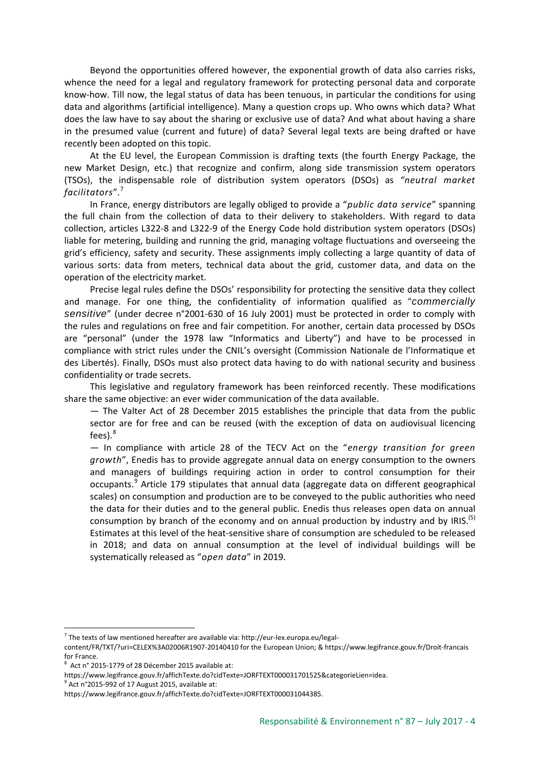Beyond the opportunities offered however, the exponential growth of data also carries risks, whence the need for a legal and regulatory framework for protecting personal data and corporate know-how. Till now, the legal status of data has been tenuous, in particular the conditions for using data and algorithms (artificial intelligence). Many a question crops up. Who owns which data? What does the law have to say about the sharing or exclusive use of data? And what about having a share in the presumed value (current and future) of data? Several legal texts are being drafted or have recently been adopted on this topic.

At the EU level, the European Commission is drafting texts (the fourth Energy Package, the new Market Design, etc.) that recognize and confirm, along side transmission system operators (TSOs), the indispensable role of distribution system operators (DSOs) as *"neutral market facilitators*". [7](#page-3-0)

In France, energy distributors are legally obliged to provide a "*public data service*" spanning the full chain from the collection of data to their delivery to stakeholders. With regard to data collection, articles L322-8 and L322-9 of the Energy Code hold distribution system operators (DSOs) liable for metering, building and running the grid, managing voltage fluctuations and overseeing the grid's efficiency, safety and security. These assignments imply collecting a large quantity of data of various sorts: data from meters, technical data about the grid, customer data, and data on the operation of the electricity market.

Precise legal rules define the DSOs' responsibility for protecting the sensitive data they collect and manage. For one thing, the confidentiality of information qualified as "*commercially sensitive*" (under decree n°2001-630 of 16 July 2001) must be protected in order to comply with the rules and regulations on free and fair competition. For another, certain data processed by DSOs are "personal" (under the 1978 law "Informatics and Liberty") and have to be processed in compliance with strict rules under the CNIL's oversight (Commission Nationale de l'Informatique et des Libertés). Finally, DSOs must also protect data having to do with national security and business confidentiality or trade secrets.

This legislative and regulatory framework has been reinforced recently. These modifications share the same objective: an ever wider communication of the data available.

— The Valter Act of 28 December 2015 establishes the principle that data from the public sector are for free and can be reused (with the exception of data on audiovisual licencing fees).<sup>[8](#page-3-1)</sup>

— In compliance with article 28 of the TECV Act on the "*energy transition for green growth*", Enedis has to provide aggregate annual data on energy consumption to the owners and managers of buildings requiring action in order to control consumption for their occupants.[9](#page-3-2) Article 179 stipulates that annual data (aggregate data on different geographical scales) on consumption and production are to be conveyed to the public authorities who need the data for their duties and to the general public. Enedis thus releases open data on annual consumption by branch of the economy and on annual production by industry and by IRIS.<sup>(5)</sup> Estimates at this level of the heat-sensitive share of consumption are scheduled to be released in 2018; and data on annual consumption at the level of individual buildings will be systematically released as "*open data*" in 2019.

<span id="page-3-0"></span> $7$  The texts of law mentioned hereafter are available via: http://eur-lex.europa.eu/legal-

content/FR/TXT/?uri=CELEX%3A02006R1907-20140410 for the European Union; & https://www.legifrance.gouv.fr/Droit-francais for France.

<span id="page-3-1"></span><sup>8</sup> Act n° 2015-1779 of 28 Décember 2015 available at:

https://www.legifrance.gouv.fr/affichTexte.do?cidTexte=JORFTEXT000031701525&categorieLien=idea.

<span id="page-3-2"></span> $9^9$  Act n°2015-992 of 17 August 2015, available at:

https://www.legifrance.gouv.fr/affichTexte.do?cidTexte=JORFTEXT000031044385.